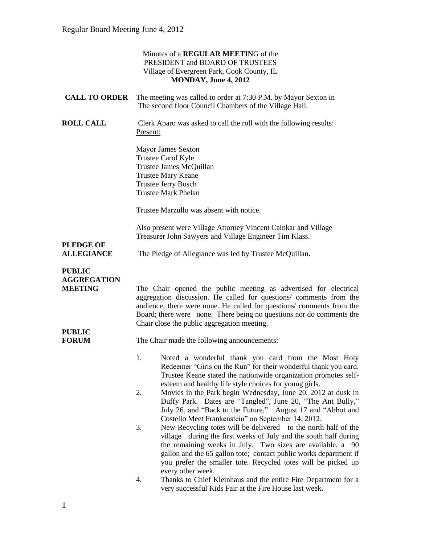|                                                       | Minutes of a REGULAR MEETING of the<br>PRESIDENT and BOARD OF TRUSTEES<br>Village of Evergreen Park, Cook County, IL<br>MONDAY, June 4, 2012                                                                                                                                                                                                                                                                                                                 |
|-------------------------------------------------------|--------------------------------------------------------------------------------------------------------------------------------------------------------------------------------------------------------------------------------------------------------------------------------------------------------------------------------------------------------------------------------------------------------------------------------------------------------------|
| <b>CALL TO ORDER</b>                                  | The meeting was called to order at 7:30 P.M. by Mayor Sexton in<br>The second floor Council Chambers of the Village Hall.                                                                                                                                                                                                                                                                                                                                    |
| <b>ROLL CALL</b>                                      | Clerk Aparo was asked to call the roll with the following results:<br>Present:                                                                                                                                                                                                                                                                                                                                                                               |
|                                                       | <b>Mayor James Sexton</b><br>Trustee Carol Kyle<br>Trustee James McQuillan<br><b>Trustee Mary Keane</b><br><b>Trustee Jerry Bosch</b><br><b>Trustee Mark Phelan</b>                                                                                                                                                                                                                                                                                          |
|                                                       | Trustee Marzullo was absent with notice.                                                                                                                                                                                                                                                                                                                                                                                                                     |
| <b>PLEDGE OF</b>                                      | Also present were Village Attorney Vincent Cainkar and Village<br>Treasurer John Sawyers and Village Engineer Tim Klass.                                                                                                                                                                                                                                                                                                                                     |
| <b>ALLEGIANCE</b>                                     | The Pledge of Allegiance was led by Trustee McQuillan.                                                                                                                                                                                                                                                                                                                                                                                                       |
| <b>PUBLIC</b><br><b>AGGREGATION</b><br><b>MEETING</b> | The Chair opened the public meeting as advertised for electrical<br>aggregation discussion. He called for questions/ comments from the<br>audience; there were none. He called for questions/ comments from the<br>Board; there were none. There being no questions nor do comments the<br>Chair close the public aggregation meeting.                                                                                                                       |
| <b>PUBLIC</b><br><b>FORUM</b>                         | The Chair made the following announcements:                                                                                                                                                                                                                                                                                                                                                                                                                  |
|                                                       | Noted a wonderful thank you card from the Most Holy<br>1.<br>Redeemer "Girls on the Run" for their wonderful thank you card.<br>Trustee Keane stated the nationwide organization promotes self-<br>esteem and healthy life style choices for young girls.<br>2.<br>Movies in the Park begin Wednesday, June 20, 2012 at dusk in<br>Duffy Park. Dates are "Tangled", June 20, "The Ant Bully,"<br>July 26, and "Back to the Future," August 17 and "Abbot and |
|                                                       | Costello Meet Frankenstein" on September 14, 2012.<br>New Recycling totes will be delivered to the north half of the<br>3.<br>village during the first weeks of July and the south half during<br>the remaining weeks in July. Two sizes are available, a 90<br>gallon and the 65 gallon tote; contact public works department if<br>you prefer the smaller tote. Recycled totes will be picked up<br>every other week.                                      |
|                                                       | 4.<br>Thanks to Chief Kleinhaus and the entire Fire Department for a<br>very successful Kids Fair at the Fire House last week.                                                                                                                                                                                                                                                                                                                               |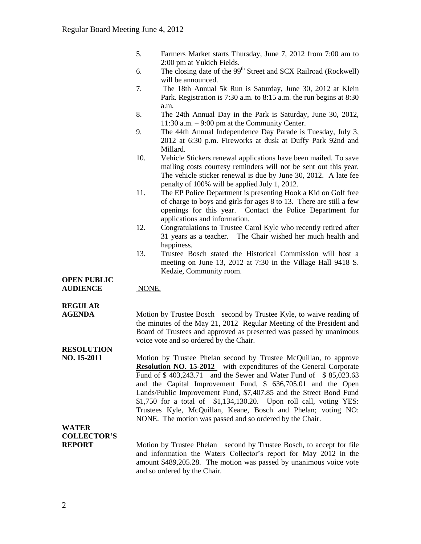- 5. Farmers Market starts Thursday, June 7, 2012 from 7:00 am to 2:00 pm at Yukich Fields.
- 6. The closing date of the  $99<sup>th</sup>$  Street and SCX Railroad (Rockwell) will be announced.
- 7. The 18th Annual 5k Run is Saturday, June 30, 2012 at Klein Park. Registration is 7:30 a.m. to 8:15 a.m. the run begins at 8:30 a.m.
- 8. The 24th Annual Day in the Park is Saturday, June 30, 2012, 11:30 a.m. – 9:00 pm at the Community Center.
- 9. The 44th Annual Independence Day Parade is Tuesday, July 3, 2012 at 6:30 p.m. Fireworks at dusk at Duffy Park 92nd and Millard.
- 10. Vehicle Stickers renewal applications have been mailed. To save mailing costs courtesy reminders will not be sent out this year. The vehicle sticker renewal is due by June 30, 2012. A late fee penalty of 100% will be applied July 1, 2012.
- 11. The EP Police Department is presenting Hook a Kid on Golf free of charge to boys and girls for ages 8 to 13. There are still a few openings for this year. Contact the Police Department for applications and information.
- 12. Congratulations to Trustee Carol Kyle who recently retired after 31 years as a teacher. The Chair wished her much health and happiness.
- 13. Trustee Bosch stated the Historical Commission will host a meeting on June 13, 2012 at 7:30 in the Village Hall 9418 S. Kedzie, Community room.

#### **OPEN PUBLIC AUDIENCE** NONE.

## **REGULAR**

**AGENDA** Motion by Trustee Bosch second by Trustee Kyle, to waive reading of the minutes of the May 21, 2012 Regular Meeting of the President and Board of Trustees and approved as presented was passed by unanimous voice vote and so ordered by the Chair.

# **RESOLUTION**

**NO. 15-2011** Motion by Trustee Phelan second by Trustee McQuillan, to approve **Resolution NO. 15-2012** with expenditures of the General Corporate Fund of \$ 403,243.71 and the Sewer and Water Fund of \$ 85,023.63 and the Capital Improvement Fund, \$ 636,705.01 and the Open Lands/Public Improvement Fund, \$7,407.85 and the Street Bond Fund \$1,750 for a total of \$1,134,130.20. Upon roll call, voting YES: Trustees Kyle, McQuillan, Keane, Bosch and Phelan; voting NO: NONE. The motion was passed and so ordered by the Chair.

# **WATER COLLECTOR'S**

**REPORT** Motion by Trustee Phelan second by Trustee Bosch, to accept for file and information the Waters Collector's report for May 2012 in the amount \$489,205.28. The motion was passed by unanimous voice vote and so ordered by the Chair.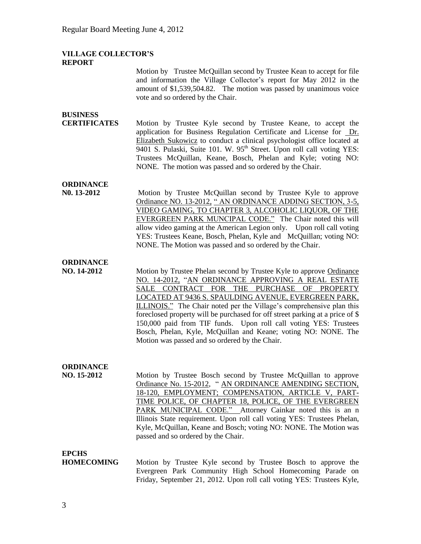#### **VILLAGE COLLECTOR'S REPORT**

Motion by Trustee McQuillan second by Trustee Kean to accept for file and information the Village Collector's report for May 2012 in the amount of \$1,539,504.82. The motion was passed by unanimous voice vote and so ordered by the Chair. **BUSINESS CERTIFICATES** Motion by Trustee Kyle second by Trustee Keane, to accept the application for Business Regulation Certificate and License for Dr. Elizabeth Sukowicz to conduct a clinical psychologist office located at 9401 S. Pulaski, Suite 101. W. 95<sup>th</sup> Street. Upon roll call voting YES: Trustees McQuillan, Keane, Bosch, Phelan and Kyle; voting NO: NONE. The motion was passed and so ordered by the Chair. **ORDINANCE N0. 13-2012** Motion by Trustee McQuillan second by Trustee Kyle to approve Ordinance NO. 13-2012, " AN ORDINANCE ADDING SECTION, 3-5, VIDEO GAMING, TO CHAPTER 3, ALCOHOLIC LIQUOR, OF THE EVERGREEN PARK MUNCIPAL CODE." The Chair noted this will allow video gaming at the American Legion only. Upon roll call voting YES: Trustees Keane, Bosch, Phelan, Kyle and McQuillan; voting NO: NONE. The Motion was passed and so ordered by the Chair. **ORDINANCE NO. 14-2012** Motion by Trustee Phelan second by Trustee Kyle to approve Ordinance NO. 14-2012, "AN ORDINANCE APPROVING A REAL ESTATE SALE CONTRACT FOR THE PURCHASE OF PROPERTY LOCATED AT 9436 S. SPAULDING AVENUE, EVERGREEN PARK, ILLINOIS." The Chair noted per the Village's comprehensive plan this foreclosed property will be purchased for off street parking at a price of \$ 150,000 paid from TIF funds. Upon roll call voting YES: Trustees Bosch, Phelan, Kyle, McQuillan and Keane; voting NO: NONE. The Motion was passed and so ordered by the Chair. **ORDINANCE NO. 15-2012** Motion by Trustee Bosch second by Trustee McQuillan to approve Ordinance No. 15-2012, " AN ORDINANCE AMENDING SECTION, 18-120, EMPLOYMENT; COMPENSATION, ARTICLE V, PART-TIME POLICE, OF CHAPTER 18, POLICE, OF THE EVERGREEN PARK MUNICIPAL CODE." Attorney Cainkar noted this is an n Illinois State requirement. Upon roll call voting YES: Trustees Phelan, Kyle, McQuillan, Keane and Bosch; voting NO: NONE. The Motion was passed and so ordered by the Chair.

## **EPCHS**

**HOMECOMING** Motion by Trustee Kyle second by Trustee Bosch to approve the Evergreen Park Community High School Homecoming Parade on Friday, September 21, 2012. Upon roll call voting YES: Trustees Kyle,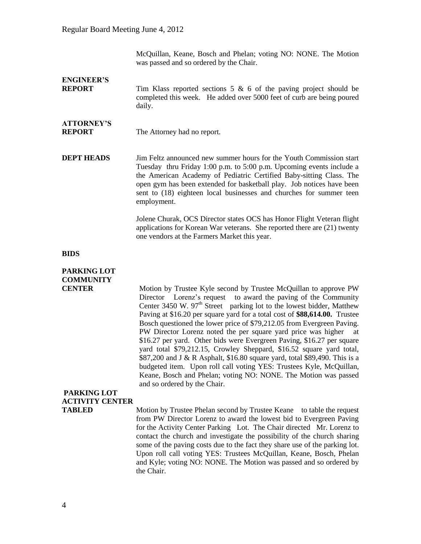McQuillan, Keane, Bosch and Phelan; voting NO: NONE. The Motion was passed and so ordered by the Chair.

**ENGINEER'S REPORT** Tim Klass reported sections 5 & 6 of the paving project should be completed this week. He added over 5000 feet of curb are being poured daily.

### **ATTORNEY'S REPORT** The Attorney had no report.

**DEPT HEADS** Jim Feltz announced new summer hours for the Youth Commission start Tuesday thru Friday 1:00 p.m. to 5:00 p.m. Upcoming events include a the American Academy of Pediatric Certified Baby-sitting Class. The open gym has been extended for basketball play. Job notices have been sent to (18) eighteen local businesses and churches for summer teen employment.

> Jolene Churak, OCS Director states OCS has Honor Flight Veteran flight applications for Korean War veterans. She reported there are (21) twenty one vendors at the Farmers Market this year.

#### **BIDS**

## **PARKING LOT COMMUNITY**

**CENTER** Motion by Trustee Kyle second by Trustee McQuillan to approve PW Director Lorenz's request to award the paving of the Community Center 3450 W.  $97<sup>th</sup>$  Street parking lot to the lowest bidder, Matthew Paving at \$16.20 per square yard for a total cost of **\$88,614.00.** Trustee Bosch questioned the lower price of \$79,212.05 from Evergreen Paving. PW Director Lorenz noted the per square yard price was higher at \$16.27 per yard. Other bids were Evergreen Paving, \$16.27 per square yard total \$79,212.15, Crowley Sheppard, \$16.52 square yard total, \$87,200 and J & R Asphalt, \$16.80 square yard, total \$89,490. This is a budgeted item. Upon roll call voting YES: Trustees Kyle, McQuillan, Keane, Bosch and Phelan; voting NO: NONE. The Motion was passed and so ordered by the Chair.

## **PARKING LOT ACTIVITY CENTER**

**TABLED** Motion by Trustee Phelan second by Trustee Keane to table the request from PW Director Lorenz to award the lowest bid to Evergreen Paving for the Activity Center Parking Lot. The Chair directed Mr. Lorenz to contact the church and investigate the possibility of the church sharing some of the paving costs due to the fact they share use of the parking lot. Upon roll call voting YES: Trustees McQuillan, Keane, Bosch, Phelan and Kyle; voting NO: NONE. The Motion was passed and so ordered by the Chair.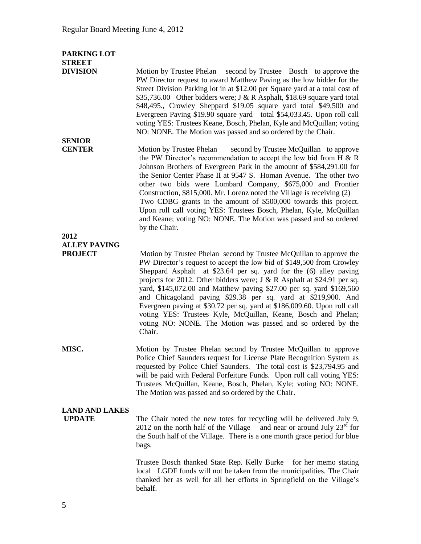| PARKING LOT<br><b>STREET</b>           |                                                                                                                                                                                                                                                                                                                                                                                                                                                                                                                                                                                                                                                               |
|----------------------------------------|---------------------------------------------------------------------------------------------------------------------------------------------------------------------------------------------------------------------------------------------------------------------------------------------------------------------------------------------------------------------------------------------------------------------------------------------------------------------------------------------------------------------------------------------------------------------------------------------------------------------------------------------------------------|
| <b>DIVISION</b>                        | Motion by Trustee Phelan second by Trustee Bosch to approve the<br>PW Director request to award Matthew Paving as the low bidder for the<br>Street Division Parking lot in at \$12.00 per Square yard at a total cost of<br>\$35,736.00 Other bidders were; J & R Asphalt, \$18.69 square yard total<br>\$48,495., Crowley Sheppard \$19.05 square yard total \$49,500 and<br>Evergreen Paving \$19.90 square yard total \$54,033.45. Upon roll call<br>voting YES: Trustees Keane, Bosch, Phelan, Kyle and McQuillan; voting<br>NO: NONE. The Motion was passed and so ordered by the Chair.                                                                 |
| <b>SENIOR</b><br><b>CENTER</b>         | second by Trustee McQuillan to approve<br>Motion by Trustee Phelan                                                                                                                                                                                                                                                                                                                                                                                                                                                                                                                                                                                            |
|                                        | the PW Director's recommendation to accept the low bid from H $\&$ R<br>Johnson Brothers of Evergreen Park in the amount of \$584,291.00 for<br>the Senior Center Phase II at 9547 S. Homan Avenue. The other two<br>other two bids were Lombard Company, \$675,000 and Frontier<br>Construction, \$815,000. Mr. Lorenz noted the Village is receiving (2)<br>Two CDBG grants in the amount of \$500,000 towards this project.<br>Upon roll call voting YES: Trustees Bosch, Phelan, Kyle, McQuillan<br>and Keane; voting NO: NONE. The Motion was passed and so ordered<br>by the Chair.                                                                     |
| 2012<br><b>ALLEY PAVING</b>            |                                                                                                                                                                                                                                                                                                                                                                                                                                                                                                                                                                                                                                                               |
| <b>PROJECT</b>                         | Motion by Trustee Phelan second by Trustee McQuillan to approve the<br>PW Director's request to accept the low bid of \$149,500 from Crowley<br>Sheppard Asphalt at \$23.64 per sq. yard for the (6) alley paving<br>projects for 2012. Other bidders were; J & R Asphalt at \$24.91 per sq.<br>yard, \$145,072.00 and Matthew paving \$27.00 per sq. yard \$169,560<br>and Chicagoland paving \$29.38 per sq. yard at \$219,900. And<br>Evergreen paving at \$30.72 per sq. yard at \$186,009.60. Upon roll call<br>voting YES: Trustees Kyle, McQuillan, Keane, Bosch and Phelan;<br>voting NO: NONE. The Motion was passed and so ordered by the<br>Chair. |
| MISC.                                  | Motion by Trustee Phelan second by Trustee McQuillan to approve<br>Police Chief Saunders request for License Plate Recognition System as<br>requested by Police Chief Saunders. The total cost is \$23,794.95 and<br>will be paid with Federal Forfeiture Funds. Upon roll call voting YES:<br>Trustees McQuillan, Keane, Bosch, Phelan, Kyle; voting NO: NONE.<br>The Motion was passed and so ordered by the Chair.                                                                                                                                                                                                                                         |
| <b>LAND AND LAKES</b><br><b>UPDATE</b> | The Chair noted the new totes for recycling will be delivered July 9,<br>and near or around July $23rd$ for<br>2012 on the north half of the Village<br>the South half of the Village. There is a one month grace period for blue<br>bags.                                                                                                                                                                                                                                                                                                                                                                                                                    |

Trustee Bosch thanked State Rep. Kelly Burke for her memo stating local LGDF funds will not be taken from the municipalities. The Chair thanked her as well for all her efforts in Springfield on the Village's behalf.